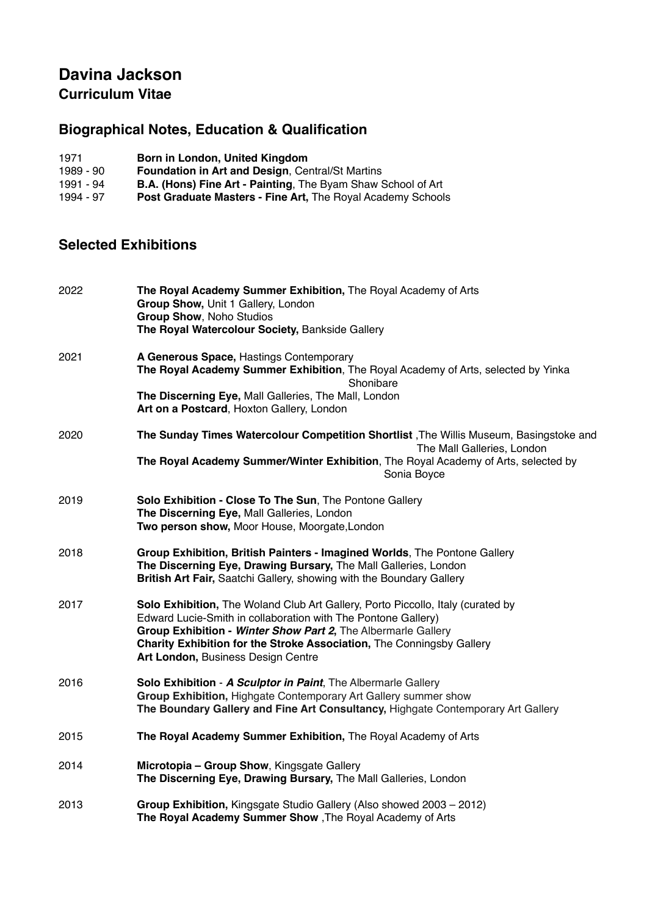## **Davina Jackson Curriculum Vitae**

# **Biographical Notes, Education & Qualification**

| 1971 |  |  |  | Born in London, United Kingdom |  |
|------|--|--|--|--------------------------------|--|
|      |  |  |  |                                |  |

- 
- B.A. (Hons) Fine Art Painting, The Byam Shaw School of Art
- 1989 90 **Foundation in Art and Design**, Central/St Martins<br>1991 94 **B.A. (Hons) Fine Art Painting**, The Byam Shaw S<br>1994 97 **Post Graduate Masters Fine Art**, The Royal Acad Post Graduate Masters - Fine Art, The Royal Academy Schools

### **Selected Exhibitions**

| 2022 | The Royal Academy Summer Exhibition, The Royal Academy of Arts<br>Group Show, Unit 1 Gallery, London<br>Group Show, Noho Studios<br>The Royal Watercolour Society, Bankside Gallery                                                                                                                                              |
|------|----------------------------------------------------------------------------------------------------------------------------------------------------------------------------------------------------------------------------------------------------------------------------------------------------------------------------------|
| 2021 | A Generous Space, Hastings Contemporary<br>The Royal Academy Summer Exhibition, The Royal Academy of Arts, selected by Yinka<br>Shonibare<br>The Discerning Eye, Mall Galleries, The Mall, London<br>Art on a Postcard, Hoxton Gallery, London                                                                                   |
| 2020 | The Sunday Times Watercolour Competition Shortlist, The Willis Museum, Basingstoke and<br>The Mall Galleries, London<br>The Royal Academy Summer/Winter Exhibition, The Royal Academy of Arts, selected by<br>Sonia Boyce                                                                                                        |
| 2019 | Solo Exhibition - Close To The Sun, The Pontone Gallery<br>The Discerning Eye, Mall Galleries, London<br>Two person show, Moor House, Moorgate, London                                                                                                                                                                           |
| 2018 | Group Exhibition, British Painters - Imagined Worlds, The Pontone Gallery<br>The Discerning Eye, Drawing Bursary, The Mall Galleries, London<br>British Art Fair, Saatchi Gallery, showing with the Boundary Gallery                                                                                                             |
| 2017 | Solo Exhibition, The Woland Club Art Gallery, Porto Piccollo, Italy (curated by<br>Edward Lucie-Smith in collaboration with The Pontone Gallery)<br>Group Exhibition - Winter Show Part 2, The Albermarle Gallery<br>Charity Exhibition for the Stroke Association, The Conningsby Gallery<br>Art London, Business Design Centre |
| 2016 | Solo Exhibition - A Sculptor in Paint, The Albermarle Gallery<br>Group Exhibition, Highgate Contemporary Art Gallery summer show<br>The Boundary Gallery and Fine Art Consultancy, Highgate Contemporary Art Gallery                                                                                                             |
| 2015 | The Royal Academy Summer Exhibition, The Royal Academy of Arts                                                                                                                                                                                                                                                                   |
| 2014 | Microtopia - Group Show, Kingsgate Gallery<br>The Discerning Eye, Drawing Bursary, The Mall Galleries, London                                                                                                                                                                                                                    |
| 2013 | Group Exhibition, Kingsgate Studio Gallery (Also showed 2003 - 2012)<br>The Royal Academy Summer Show, The Royal Academy of Arts                                                                                                                                                                                                 |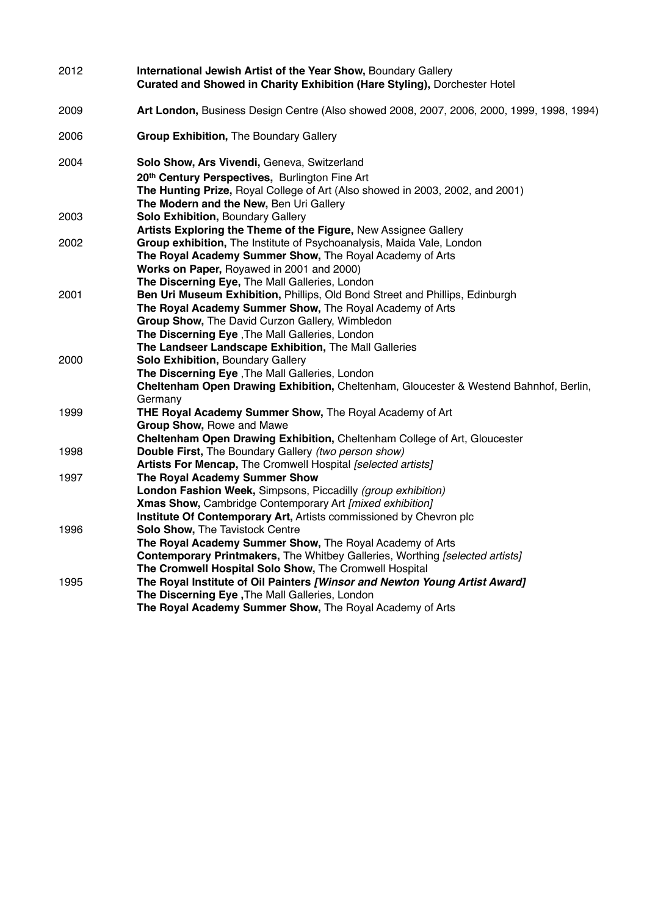| 2012 | International Jewish Artist of the Year Show, Boundary Gallery<br>Curated and Showed in Charity Exhibition (Hare Styling), Dorchester Hotel |
|------|---------------------------------------------------------------------------------------------------------------------------------------------|
| 2009 | Art London, Business Design Centre (Also showed 2008, 2007, 2006, 2000, 1999, 1998, 1994)                                                   |
| 2006 | <b>Group Exhibition, The Boundary Gallery</b>                                                                                               |
| 2004 | Solo Show, Ars Vivendi, Geneva, Switzerland                                                                                                 |
|      | 20th Century Perspectives, Burlington Fine Art                                                                                              |
|      | The Hunting Prize, Royal College of Art (Also showed in 2003, 2002, and 2001)                                                               |
|      | The Modern and the New, Ben Uri Gallery                                                                                                     |
| 2003 | <b>Solo Exhibition, Boundary Gallery</b>                                                                                                    |
|      | Artists Exploring the Theme of the Figure, New Assignee Gallery                                                                             |
| 2002 | Group exhibition, The Institute of Psychoanalysis, Maida Vale, London                                                                       |
|      | The Royal Academy Summer Show, The Royal Academy of Arts                                                                                    |
|      | Works on Paper, Royawed in 2001 and 2000)                                                                                                   |
|      | The Discerning Eye, The Mall Galleries, London                                                                                              |
| 2001 | Ben Uri Museum Exhibition, Phillips, Old Bond Street and Phillips, Edinburgh                                                                |
|      | The Royal Academy Summer Show, The Royal Academy of Arts                                                                                    |
|      | Group Show, The David Curzon Gallery, Wimbledon                                                                                             |
|      | The Discerning Eye, The Mall Galleries, London                                                                                              |
|      | The Landseer Landscape Exhibition, The Mall Galleries                                                                                       |
| 2000 | Solo Exhibition, Boundary Gallery                                                                                                           |
|      | The Discerning Eye, The Mall Galleries, London<br>Cheltenham Open Drawing Exhibition, Cheltenham, Gloucester & Westend Bahnhof, Berlin,     |
|      | Germany                                                                                                                                     |
| 1999 | THE Royal Academy Summer Show, The Royal Academy of Art                                                                                     |
|      | Group Show, Rowe and Mawe                                                                                                                   |
|      | Cheltenham Open Drawing Exhibition, Cheltenham College of Art, Gloucester                                                                   |
| 1998 | Double First, The Boundary Gallery (two person show)                                                                                        |
|      | Artists For Mencap, The Cromwell Hospital [selected artists]                                                                                |
| 1997 | The Royal Academy Summer Show                                                                                                               |
|      | London Fashion Week, Simpsons, Piccadilly (group exhibition)                                                                                |
|      | Xmas Show, Cambridge Contemporary Art [mixed exhibition]                                                                                    |
|      | Institute Of Contemporary Art, Artists commissioned by Chevron plc                                                                          |
| 1996 | Solo Show, The Tavistock Centre                                                                                                             |
|      | The Royal Academy Summer Show, The Royal Academy of Arts                                                                                    |
|      | Contemporary Printmakers, The Whitbey Galleries, Worthing [selected artists]                                                                |
|      | The Cromwell Hospital Solo Show, The Cromwell Hospital                                                                                      |
| 1995 | The Royal Institute of Oil Painters [Winsor and Newton Young Artist Award]                                                                  |
|      | The Discerning Eye, The Mall Galleries, London                                                                                              |
|      | The Royal Academy Summer Show, The Royal Academy of Arts                                                                                    |